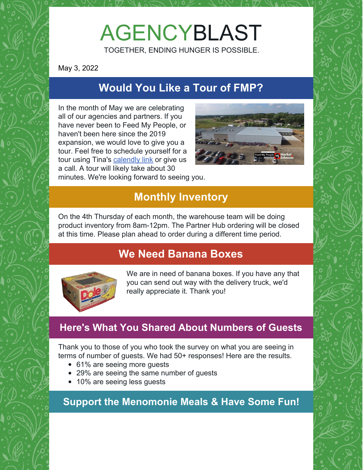# AGENCYBLAST

TOGETHER, ENDING HUNGER IS POSSIBLE.

May 3, 2022

## **Would You Like a Tour of FMP?**

In the month of May we are celebrating all of our agencies and partners. If you have never been to Feed My People, or haven't been here since the 2019 expansion, we would love to give you a tour. Feel free to schedule yourself for a tour using Tina's [calendly](https://calendly.com/tina--108/feed-my-people-agencytours) link or give us a call. A tour will likely take about 30



minutes. We're looking forward to seeing you.

### **Monthly Inventory**

On the 4th Thursday of each month, the warehouse team will be doing product inventory from 8am-12pm. The Partner Hub ordering will be closed at this time. Please plan ahead to order during a different time period.

#### **We Need Banana Boxes**



We are in need of banana boxes. If you have any that you can send out way with the delivery truck, we'd really appreciate it. Thank you!

#### **Here's What You Shared About Numbers of Guests**

Thank you to those of you who took the survey on what you are seeing in terms of number of guests. We had 50+ responses! Here are the results.

- 61% are seeing more guests
- 29% are seeing the same number of guests
- 10% are seeing less guests

**Support the Menomonie Meals & Have Some Fun!**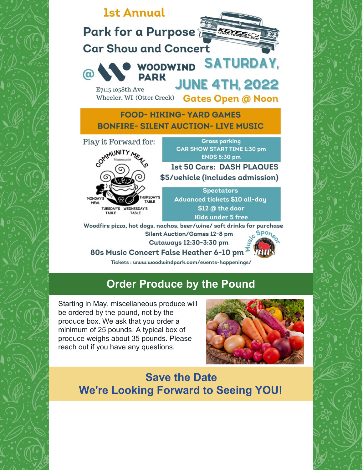

#### **Order Produce by the Pound**

Starting in May, miscellaneous produce will be ordered by the pound, not by the produce box. We ask that you order a minimum of 25 pounds. A typical box of produce weighs about 35 pounds. Please reach out if you have any questions.



**Save the Date We're Looking Forward to Seeing YOU!**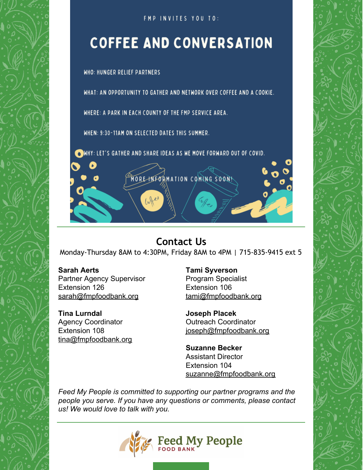

FMP INVITES YOU TO:

# **COFFEE AND CONVERSATION**

**WHO: HUNGER RELIEF PARTNERS** 

WHAT: AN OPPORTUNITY TO GATHER AND NETWORK OVER COFFEE AND A COOKIE.

WHERE: A PARK IN EACH COUNTY OF THE FMP SERVICE AREA.

WHEN: 9:30-11AM ON SELECTED DATES THIS SUMMER.

OWHY: LET'S GATHER AND SHARE IDEAS AS WE MOVE FORWARD OUT OF COVID.

#### **Contact Us**

MORE INFORMATION COMING SOON!

Monday-Thursday 8AM to 4:30PM, Friday 8AM to 4PM | 715-835-9415 ext 5

#### **Sarah Aerts**

Partner Agency Supervisor Extension 126 [sarah@fmpfoodbank.org](mailto:sarah@fmpfoodbank.org)

**Tina Lurndal** Agency Coordinator Extension 108 [tina@fmpfoodbank.org](mailto:leah@fmpfoodbank.org)

#### **Tami Syverson**

Program Specialist Extension 106 [tami@fmpfoodbank.org](mailto:tami@fmpfoodbank.org)

**Joseph Placek** Outreach Coordinator [joseph@fmpfoodbank.org](mailto:joseph@fmpfoodbank.org)

**Suzanne Becker** Assistant Director Extension 104 [suzanne@fmpfoodbank.org](mailto:suzanne@fmpfoodbank.org)

*Feed My People is committed to supporting our partner programs and the people you serve. If you have any questions or comments, please contact us! We would love to talk with you.*